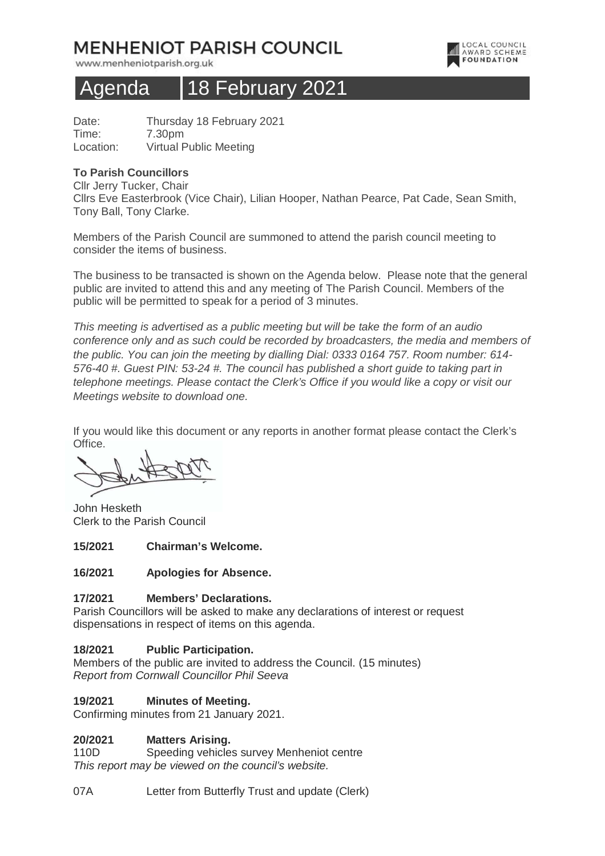# **MENHENIOT PARISH COUNCIL**

www.menheniotparish.org.uk



## Agenda | 18 February 2021

Date: Thursday 18 February 2021 Time: 7.30pm Location: Virtual Public Meeting

#### **To Parish Councillors**

Cllr Jerry Tucker, Chair Cllrs Eve Easterbrook (Vice Chair), Lilian Hooper, Nathan Pearce, Pat Cade, Sean Smith, Tony Ball, Tony Clarke.

Members of the Parish Council are summoned to attend the parish council meeting to consider the items of business.

The business to be transacted is shown on the Agenda below. Please note that the general public are invited to attend this and any meeting of The Parish Council. Members of the public will be permitted to speak for a period of 3 minutes.

This meeting is advertised as a public meeting but will be take the form of an audio conference only and as such could be recorded by broadcasters, the media and members of the public. You can join the meeting by dialling Dial: 0333 0164 757. Room number: 614- 576-40 #. Guest PIN: 53-24 #. The council has published a short guide to taking part in telephone meetings. Please contact the Clerk's Office if you would like a copy or visit our Meetings website to download one.

If you would like this document or any reports in another format please contact the Clerk's Office.

John Hesketh Clerk to the Parish Council

**15/2021 Chairman's Welcome.** 

#### **16/2021 Apologies for Absence.**

#### **17/2021 Members' Declarations.**

Parish Councillors will be asked to make any declarations of interest or request dispensations in respect of items on this agenda.

## **18/2021 Public Participation.**

Members of the public are invited to address the Council. (15 minutes) Report from Cornwall Councillor Phil Seeva

## **19/2021 Minutes of Meeting.**

Confirming minutes from 21 January 2021.

## **20/2021 Matters Arising.**

110D Speeding vehicles survey Menheniot centre This report may be viewed on the council's website.

07A Letter from Butterfly Trust and update (Clerk)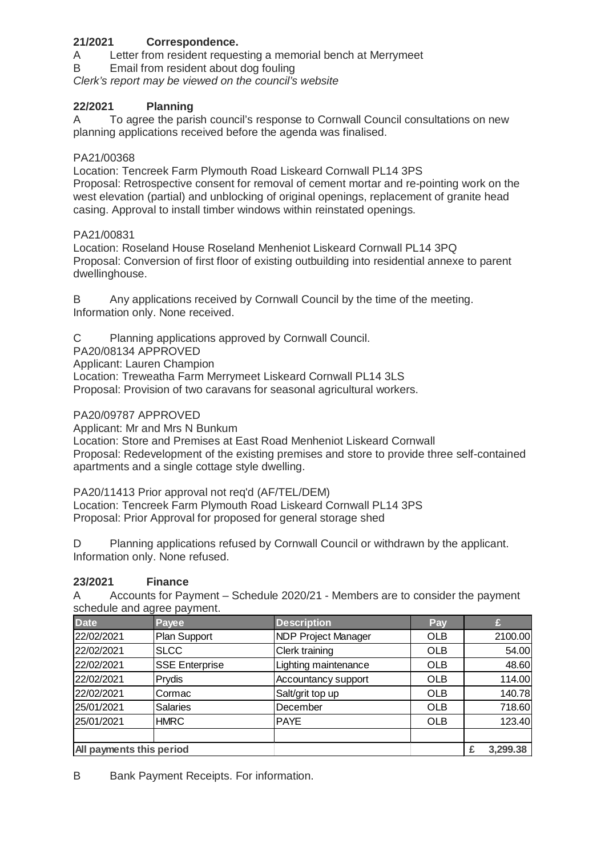## **21/2021 Correspondence.**

A Letter from resident requesting a memorial bench at Merrymeet

B Email from resident about dog fouling

Clerk's report may be viewed on the council's website

#### **22/2021 Planning**

A To agree the parish council's response to Cornwall Council consultations on new planning applications received before the agenda was finalised.

#### PA21/00368

Location: Tencreek Farm Plymouth Road Liskeard Cornwall PL14 3PS Proposal: Retrospective consent for removal of cement mortar and re-pointing work on the west elevation (partial) and unblocking of original openings, replacement of granite head casing. Approval to install timber windows within reinstated openings.

#### PA21/00831

Location: Roseland House Roseland Menheniot Liskeard Cornwall PL14 3PQ Proposal: Conversion of first floor of existing outbuilding into residential annexe to parent dwellinghouse.

B Any applications received by Cornwall Council by the time of the meeting. Information only. None received.

C Planning applications approved by Cornwall Council.

PA20/08134 APPROVED

Applicant: Lauren Champion

Location: Treweatha Farm Merrymeet Liskeard Cornwall PL14 3LS

Proposal: Provision of two caravans for seasonal agricultural workers.

#### PA20/09787 APPROVED

Applicant: Mr and Mrs N Bunkum

Location: Store and Premises at East Road Menheniot Liskeard Cornwall Proposal: Redevelopment of the existing premises and store to provide three self-contained apartments and a single cottage style dwelling.

PA20/11413 Prior approval not req'd (AF/TEL/DEM)

Location: Tencreek Farm Plymouth Road Liskeard Cornwall PL14 3PS Proposal: Prior Approval for proposed for general storage shed

D Planning applications refused by Cornwall Council or withdrawn by the applicant. Information only. None refused.

## **23/2021 Finance**

A Accounts for Payment – Schedule 2020/21 - Members are to consider the payment schedule and agree payment.

| <b>Date</b>              | Payee                 | <b>Description</b>         | Pay        |         |
|--------------------------|-----------------------|----------------------------|------------|---------|
| 22/02/2021               | Plan Support          | <b>NDP Project Manager</b> | <b>OLB</b> | 2100.00 |
| 22/02/2021               | <b>SLCC</b>           | Clerk training             | <b>OLB</b> | 54.00   |
| 22/02/2021               | <b>SSE Enterprise</b> | Lighting maintenance       | <b>OLB</b> | 48.60   |
| 22/02/2021               | Prydis                | Accountancy support        | <b>OLB</b> | 114.00  |
| 22/02/2021               | Cormac                | Salt/grit top up           | <b>OLB</b> | 140.78  |
| 25/01/2021               | <b>Salaries</b>       | December                   | <b>OLB</b> | 718.60  |
| 25/01/2021               | <b>HMRC</b>           | <b>PAYE</b>                | <b>OLB</b> | 123.40  |
|                          |                       |                            |            |         |
| All payments this period |                       |                            |            |         |

B Bank Payment Receipts. For information.